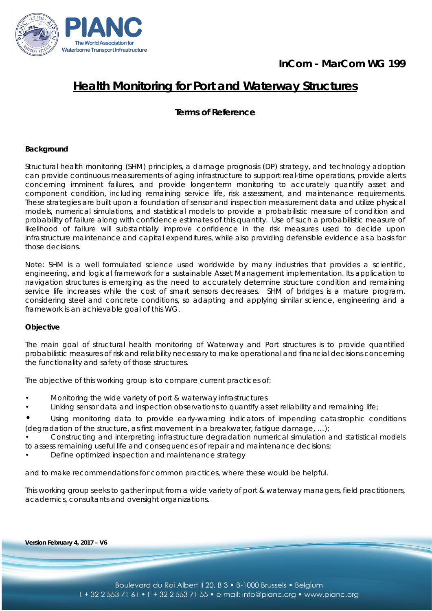



# **Health Monitoring for Port and Waterway Structures**

**Terms of Reference**

## **Background**

Structural health monitoring (SHM) principles, a damage prognosis (DP) strategy, and technology adoption can provide continuous measurements of aging infrastructure to support real-time operations, provide alerts concerning imminent failures, and provide longer-term monitoring to accurately quantify asset and component condition, including remaining service life, risk assessment, and maintenance requirements. These strategies are built upon a foundation of sensor and inspection measurement data and utilize physical models, numerical simulations, and statistical models to provide a probabilistic measure of condition and probability of failure along with confidence estimates of this quantity. Use of such a probabilistic measure of likelihood of failure will substantially improve confidence in the risk measures used to decide upon infrastructure maintenance and capital expenditures, while also providing defensible evidence as a basis for those decisions.

Note: SHM is a well formulated science used worldwide by many industries that provides a scientific, engineering, and logical framework for a sustainable Asset Management implementation. Its application to navigation structures is emerging as the need to accurately determine structure condition and remaining service life increases while the cost of smart sensors decreases. SHM of bridges is a mature program, considering steel and concrete conditions, so adapting and applying similar science, engineering and a framework is an achievable goal of this WG.

#### **Objective**

The main goal of structural health monitoring of Waterway and Port structures is to provide quantified probabilistic measures of risk and reliability necessary to make operational and financial decisions concerning the functionality and safety of those structures.

The objective of this working group is to compare current practices of:

- Monitoring the wide variety of port & waterway infrastructures
- Linking sensor data and inspection observations to quantify asset reliability and remaining life;
- Using monitoring data to provide early-warning indicators of impending catastrophic conditions (degradation of the structure, as first movement in a breakwater, fatigue damage, …);
- Constructing and interpreting infrastructure degradation numerical simulation and statistical models to assess remaining useful life and consequences of repair and maintenance decisions;
- Define optimized inspection and maintenance strategy

and to make recommendations for common practices, where these would be helpful.

This working group seeks to gather input from a wide variety of port & waterway managers, field practitioners, academics, consultants and oversight organizations.

*Version February 4, 2017 – V6*

Feb 4th , 2017, V6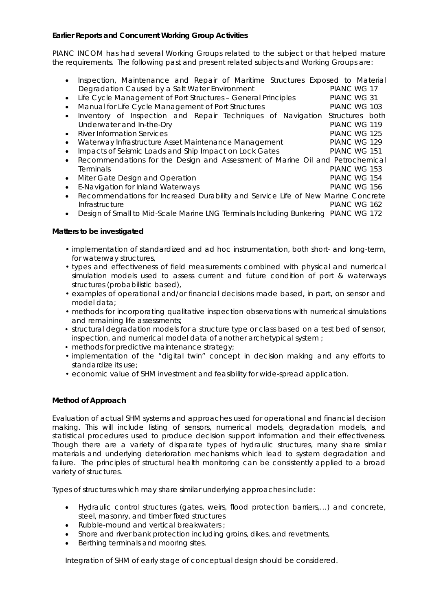# **Earlier Reports and Concurrent Working Group Activities**

PIANC INCOM has had several Working Groups related to the subject or that helped mature the requirements. The following past and present related subjects and Working Groups are:

| $\bullet$ | Inspection, Maintenance and Repair of Maritime Structures Exposed to Material      |                 |
|-----------|------------------------------------------------------------------------------------|-----------------|
|           | Degradation Caused by a Salt Water Environment                                     | PIANC WG 17     |
| $\bullet$ | Life Cycle Management of Port Structures - General Principles                      | PIANC WG 31     |
| $\bullet$ | Manual for Life Cycle Management of Port Structures                                | PIANC WG 103    |
| $\bullet$ | Inventory of Inspection and Repair Techniques of<br>Navigation                     | Structures both |
|           | Underwater and In-the-Dry                                                          | PIANC WG 119    |
| $\bullet$ | <b>River Information Services</b>                                                  | PIANC WG 125    |
| $\bullet$ | Waterway Infrastructure Asset Maintenance Management                               | PIANC WG 129    |
| $\bullet$ | Impacts of Seismic Loads and Ship Impact on Lock Gates                             | PIANC WG 151    |
| $\bullet$ | Recommendations for the Design and Assessment of Marine Oil and Petrochemical      |                 |
|           | <b>Terminals</b>                                                                   | PIANC WG 153    |
| $\bullet$ | Miter Gate Design and Operation                                                    | PIANC WG 154    |
| $\bullet$ | E-Navigation for Inland Waterways                                                  | PIANC WG 156    |
| $\bullet$ | Recommendations for Increased Durability and Service Life of New Marine Concrete   |                 |
|           | Infrastructure                                                                     | PIANC WG 162    |
| $\bullet$ | Design of Small to Mid-Scale Marine LNG Terminals Including Bunkering PIANC WG 172 |                 |

#### **Matters to be investigated**

- implementation of standardized and ad hoc instrumentation, both short- and long-term, for waterway structures,
- types and effectiveness of field measurements combined with physical and numerical simulation models used to assess current and future condition of port & waterways structures (probabilistic based),
- examples of operational and/or financial decisions made based, in part, on sensor and model data;
- methods for incorporating qualitative inspection observations with numerical simulations and remaining life assessments;
- structural degradation models for a structure type or class based on a test bed of sensor, inspection, and numerical model data of another archetypical system ;
- methods for predictive maintenance strategy;
- implementation of the "digital twin" concept in decision making and any efforts to standardize its use;
- economic value of SHM investment and feasibility for wide-spread application.

#### **Method of Approach**

Evaluation of actual SHM systems and approaches used for operational and financial decision making. This will include listing of sensors, numerical models, degradation models, and statistical procedures used to produce decision support information and their effectiveness. Though there are a variety of disparate types of hydraulic structures, many share similar materials and underlying deterioration mechanisms which lead to system degradation and failure. The principles of structural health monitoring can be consistently applied to a broad variety of structures.

Types of structures which may share similar underlying approaches include:

- Hydraulic control structures (gates, weirs, flood protection barriers,…) and concrete, steel, masonry, and timber fixed structures
- Rubble-mound and vertical breakwaters ;
- Shore and river bank protection including groins, dikes, and revetments,
- Berthing terminals and mooring sites.

Integration of SHM of early stage of conceptual design should be considered.